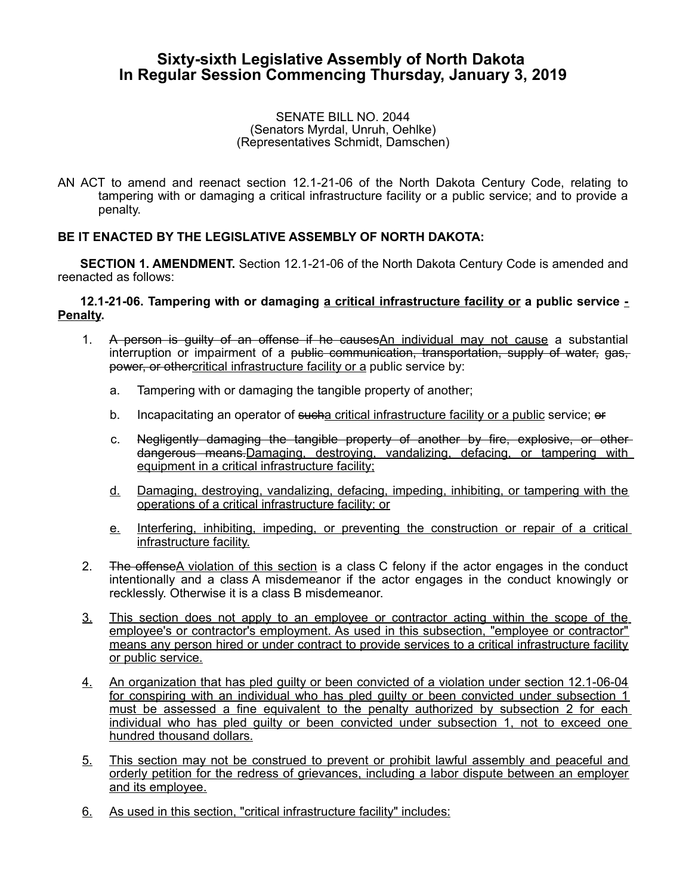## **Sixty-sixth Legislative Assembly of North Dakota In Regular Session Commencing Thursday, January 3, 2019**

## SENATE BILL NO. 2044 (Senators Myrdal, Unruh, Oehlke) (Representatives Schmidt, Damschen)

AN ACT to amend and reenact section 12.1-21-06 of the North Dakota Century Code, relating to tampering with or damaging a critical infrastructure facility or a public service; and to provide a penalty.

## **BE IT ENACTED BY THE LEGISLATIVE ASSEMBLY OF NORTH DAKOTA:**

**SECTION 1. AMENDMENT.** Section 12.1-21-06 of the North Dakota Century Code is amended and reenacted as follows:

## **12.1-21-06. Tampering with or damaging a critical infrastructure facility or a public service - Penalty.**

- 1. A person is guilty of an offense if he causes An individual may not cause a substantial interruption or impairment of a <del>public communication, transportation, supply of water, gas,</del> power, or othercritical infrastructure facility or a public service by:
	- a. Tampering with or damaging the tangible property of another;
	- b. Incapacitating an operator of such a critical infrastructure facility or a public service; or
	- c. Negligently damaging the tangible property of another by fire, explosive, or other dangerous means.Damaging, destroying, vandalizing, defacing, or tampering with equipment in a critical infrastructure facility;
	- d. Damaging, destroying, vandalizing, defacing, impeding, inhibiting, or tampering with the operations of a critical infrastructure facility; or
	- e. Interfering, inhibiting, impeding, or preventing the construction or repair of a critical infrastructure facility.
- 2. The offenseA violation of this section is a class C felony if the actor engages in the conduct intentionally and a class A misdemeanor if the actor engages in the conduct knowingly or recklessly. Otherwise it is a class B misdemeanor.
- 3. This section does not apply to an employee or contractor acting within the scope of the employee's or contractor's employment. As used in this subsection, "employee or contractor" means any person hired or under contract to provide services to a critical infrastructure facility or public service.
- 4. An organization that has pled guilty or been convicted of a violation under section 12.1-06-04 for conspiring with an individual who has pled guilty or been convicted under subsection 1 must be assessed a fine equivalent to the penalty authorized by subsection 2 for each individual who has pled guilty or been convicted under subsection 1, not to exceed one hundred thousand dollars.
- 5. This section may not be construed to prevent or prohibit lawful assembly and peaceful and orderly petition for the redress of grievances, including a labor dispute between an employer and its employee.
- 6. As used in this section, "critical infrastructure facility" includes: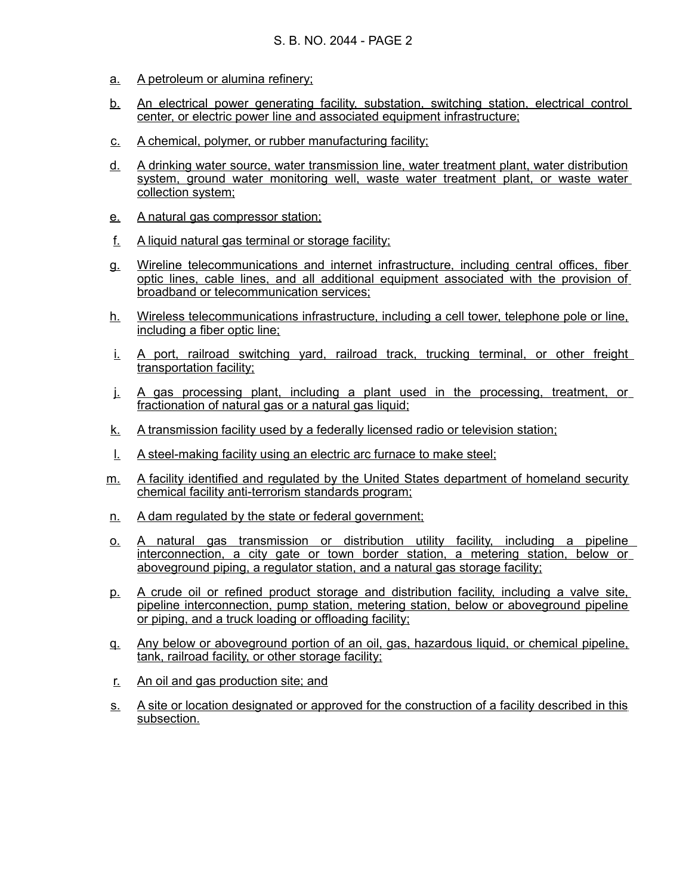- a. A petroleum or alumina refinery;
- b. An electrical power generating facility, substation, switching station, electrical control center, or electric power line and associated equipment infrastructure;
- c. A chemical, polymer, or rubber manufacturing facility;
- d. A drinking water source, water transmission line, water treatment plant, water distribution system, ground water monitoring well, waste water treatment plant, or waste water collection system;
- e. A natural gas compressor station;
- f. A liquid natural gas terminal or storage facility;
- g. Wireline telecommunications and internet infrastructure, including central offices, fiber optic lines, cable lines, and all additional equipment associated with the provision of broadband or telecommunication services;
- h. Wireless telecommunications infrastructure, including a cell tower, telephone pole or line, including a fiber optic line;
- i. A port, railroad switching yard, railroad track, trucking terminal, or other freight transportation facility;
- j. A gas processing plant, including a plant used in the processing, treatment, or fractionation of natural gas or a natural gas liquid;
- k. A transmission facility used by a federally licensed radio or television station;
- l. A steel-making facility using an electric arc furnace to make steel;
- m. A facility identified and regulated by the United States department of homeland security chemical facility anti-terrorism standards program;
- n. A dam regulated by the state or federal government;
- o. A natural gas transmission or distribution utility facility, including a pipeline interconnection, a city gate or town border station, a metering station, below or aboveground piping, a regulator station, and a natural gas storage facility;
- p. A crude oil or refined product storage and distribution facility, including a valve site, pipeline interconnection, pump station, metering station, below or aboveground pipeline or piping, and a truck loading or offloading facility;
- q. Any below or aboveground portion of an oil, gas, hazardous liquid, or chemical pipeline, tank, railroad facility, or other storage facility;
- r. An oil and gas production site; and
- s. A site or location designated or approved for the construction of a facility described in this subsection.